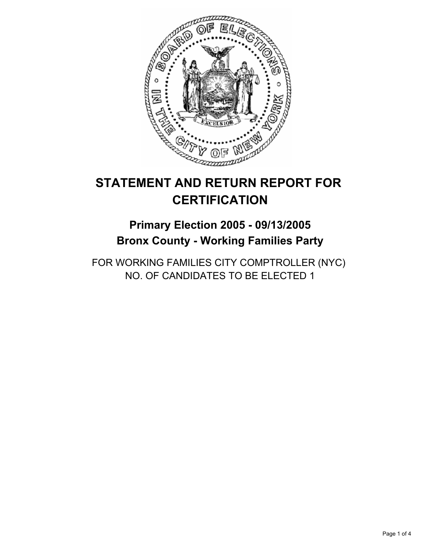

# **STATEMENT AND RETURN REPORT FOR CERTIFICATION**

## **Primary Election 2005 - 09/13/2005 Bronx County - Working Families Party**

FOR WORKING FAMILIES CITY COMPTROLLER (NYC) NO. OF CANDIDATES TO BE ELECTED 1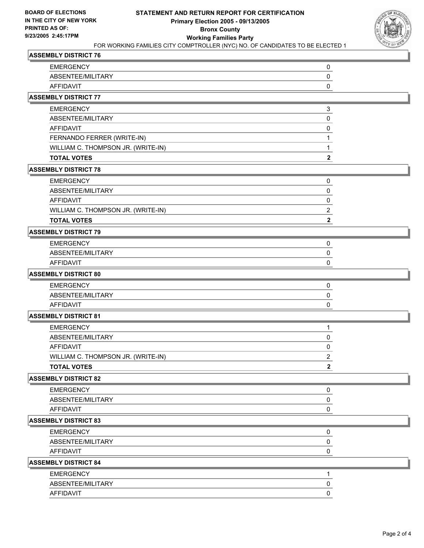

## **ASSEMBLY DISTRICT 76**

| <b>EMERGENCY</b>                   | 0            |
|------------------------------------|--------------|
| ABSENTEE/MILITARY                  | 0            |
| <b>AFFIDAVIT</b>                   | 0            |
| <b>ASSEMBLY DISTRICT 77</b>        |              |
| <b>EMERGENCY</b>                   | 3            |
| ABSENTEE/MILITARY                  | 0            |
| <b>AFFIDAVIT</b>                   | 0            |
| FERNANDO FERRER (WRITE-IN)         |              |
| WILLIAM C. THOMPSON JR. (WRITE-IN) | 1            |
| <b>TOTAL VOTES</b>                 | $\mathbf{2}$ |
| <b>ASSEMBLY DISTRICT 78</b>        |              |
| <b>EMERGENCY</b>                   | 0            |
| ABSENTEE/MILITARY                  | 0            |
| <b>AFFIDAVIT</b>                   | 0            |
| WILLIAM C. THOMPSON JR. (WRITE-IN) | 2            |
| <b>TOTAL VOTES</b>                 | 2            |
| <b>ASSEMBLY DISTRICT 79</b>        |              |
| <b>EMERGENCY</b>                   | 0            |
| ABSENTEE/MILITARY                  | 0            |
| <b>AFFIDAVIT</b>                   | 0            |
| <b>ASSEMBLY DISTRICT 80</b>        |              |
| <b>EMERGENCY</b>                   | 0            |
| ABSENTEE/MILITARY                  | 0            |
| <b>AFFIDAVIT</b>                   | 0            |
| <b>ASSEMBLY DISTRICT 81</b>        |              |
| <b>EMERGENCY</b>                   | 1            |
| ABSENTEE/MILITARY                  | 0            |
| <b>AFFIDAVIT</b>                   | 0            |
| WILLIAM C. THOMPSON JR. (WRITE-IN) | 2            |
| <b>TOTAL VOTES</b>                 |              |
| <b>ASSEMBLY DISTRICT 82</b>        |              |
| <b>EMERGENCY</b>                   | 0            |
| ABSENTEE/MILITARY                  | 0            |
| <b>AFFIDAVIT</b>                   | 0            |
| <b>ASSEMBLY DISTRICT 83</b>        |              |
| <b>EMERGENCY</b>                   | 0            |
| ABSENTEE/MILITARY                  | 0            |
| <b>AFFIDAVIT</b>                   | 0            |
| <b>ASSEMBLY DISTRICT 84</b>        |              |
| <b>EMERGENCY</b>                   | 1            |
| ABSENTEE/MILITARY                  | $\pmb{0}$    |
| <b>AFFIDAVIT</b>                   | 0            |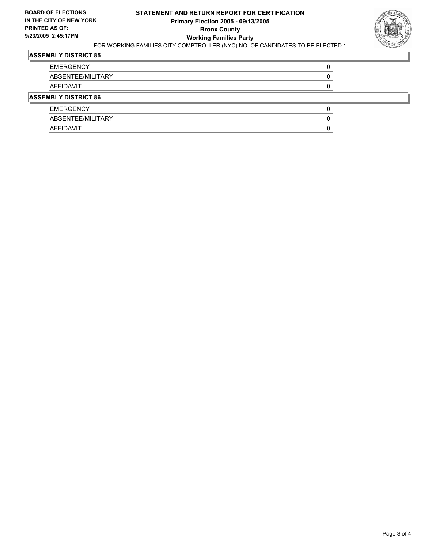

## **ASSEMBLY DISTRICT 85**

| <b>EMERGENCY</b>            |  |  |
|-----------------------------|--|--|
| ABSENTEE/MILITARY           |  |  |
| AFFIDAVIT                   |  |  |
| <b>ASSEMBLY DISTRICT 86</b> |  |  |
| <b>EMERGENCY</b>            |  |  |
| ABSENTEE/MILITARY           |  |  |
| AFFIDAVIT                   |  |  |
|                             |  |  |